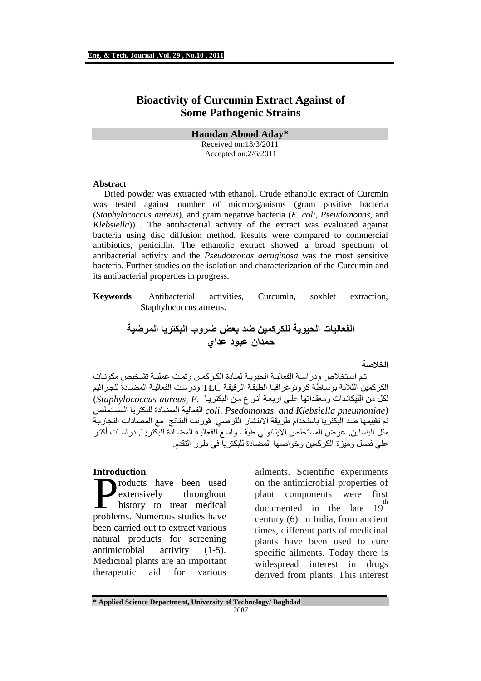# **Bioactivity of Curcumin Extract Against of Some Pathogenic Strains**

**Hamdan Abood Aday\*** 

Received on:13/3/2011 Accepted on:2/6/2011

#### **Abstract**

 Dried powder was extracted with ethanol. Crude ethanolic extract of Curcmin was tested against number of microorganisms (gram positive bacteria (*Staphylococcus aureus*), and gram negative bacteria (*E. coli*, *Pseudomonas*, and *Klebsiella*)) . The antibacterial activity of the extract was evaluated against bacteria using disc diffusion method. Results were compared to commercial antibiotics, penicillin. The ethanolic extract showed a broad spectrum of antibacterial activity and the *Pseudomonas aeruginosa* was the most sensitive bacteria. Further studies on the isolation and characterization of the Curcumin and its antibacterial properties in progress.

**Keywords**: Antibacterial activities, Curcumin, soxhlet extraction, Staphylococcus aureus.

> **الفعاليات الحيوية للكركمين ضد بعض ضروب البكتريا المرضية حمدان عبود عداي**

> > **الخصة**

 تم استخص ودراسة الفعالية الحيوية لمادة الكركمين وتمت عملية تشخيص مكونات الكركمين الثثة بوساطة كروتوغرافيا الطبقة الرقيقة TLC ودرست الفعالية المضادة للجراثيم لكل من الليكاندات ومعقداتھا على أربعة أنواع من البكتريا *.E ,aureus Staphylococcus*( *(pneumoniae Klebsiella and ,Psedomonas ,coli* الفعالية المضادة للبكتريا المستخلص تم تقييمها ضد البكتريا باستخدام طريقة الانتشار القرصي. قورنت النتائج مع المضادات التجارية مثل البنسلين. عرض المستخلص الايثانولي طيف واسع للفعالية المضـادة للبكتريـا. دراسـات أكثـر على فصل وميزة الكركمين وخواصھا المضادة للبكتريا في طور التقدم .

**Introduction** 

roducts have been used extensively throughout history to treat medical products have been used<br>extensively throughout<br>history to treat medical<br>problems. Numerous studies have been carried out to extract various natural products for screening antimicrobial activity (1-5). Medicinal plants are an important therapeutic aid for various

ailments. Scientific experiments on the antimicrobial properties of plant components were first documented in the late  $19^{th}$ century (6). In India, from ancient times, different parts of medicinal plants have been used to cure specific ailments. Today there is widespread interest in drugs derived from plants. This interest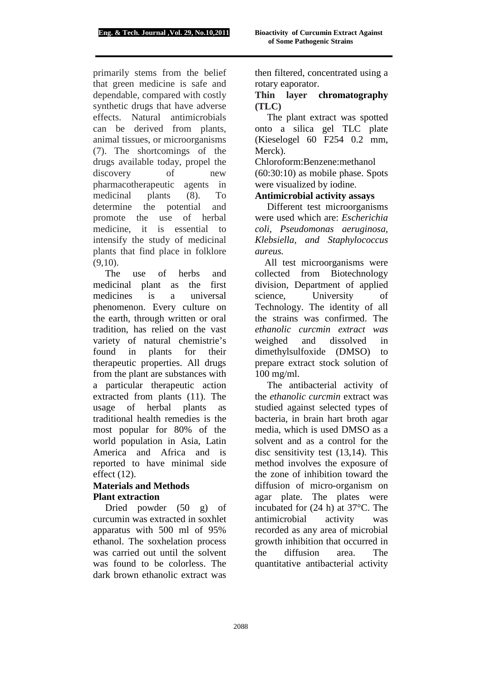primarily stems from the belief that green medicine is safe and dependable, compared with costly synthetic drugs that have adverse effects. Natural antimicrobials can be derived from plants, animal tissues, or microorganisms (7). The shortcomings of the drugs available today, propel the discovery of new pharmacotherapeutic agents in medicinal plants (8). To determine the potential and promote the use of herbal medicine, it is essential to intensify the study of medicinal plants that find place in folklore  $(9,10)$ .

 The use of herbs and medicinal plant as the first medicines is a universal phenomenon. Every culture on the earth, through written or oral tradition, has relied on the vast variety of natural chemistrie's found in plants for their therapeutic properties. All drugs from the plant are substances with a particular therapeutic action extracted from plants (11). The usage of herbal plants as traditional health remedies is the most popular for 80% of the world population in Asia, Latin America and Africa and is reported to have minimal side effect (12).

### **Materials and Methods Plant extraction**

 Dried powder (50 g) of curcumin was extracted in soxhlet apparatus with 500 ml of 95% ethanol. The soxhelation process was carried out until the solvent was found to be colorless. The dark brown ethanolic extract was then filtered, concentrated using a rotary eaporator.

## **Thin layer chromatography (TLC)**

 The plant extract was spotted onto a silica gel TLC plate (Kieselogel 60 F254 0.2 mm, Merck).

Chloroform:Benzene:methanol (60:30:10) as mobile phase. Spots were visualized by iodine.

#### **Antimicrobial activity assays**

 Different test microorganisms were used which are: *Escherichia coli, Pseudomonas aeruginosa, Klebsiella, and Staphylococcus aureus.* 

All test microorganisms were collected from Biotechnology division, Department of applied science, University of Technology. The identity of all the strains was confirmed. The *ethanolic curcmin extract was*  weighed and dissolved in dimethylsulfoxide (DMSO) to prepare extract stock solution of 100 mg/ml.

 The antibacterial activity of the *ethanolic curcmin* extract was studied against selected types of bacteria, in brain hart broth agar media, which is used DMSO as a solvent and as a control for the disc sensitivity test (13,14). This method involves the exposure of the zone of inhibition toward the diffusion of micro-organism on agar plate. The plates were incubated for (24 h) at 37°C. The antimicrobial activity was recorded as any area of microbial growth inhibition that occurred in the diffusion area. The quantitative antibacterial activity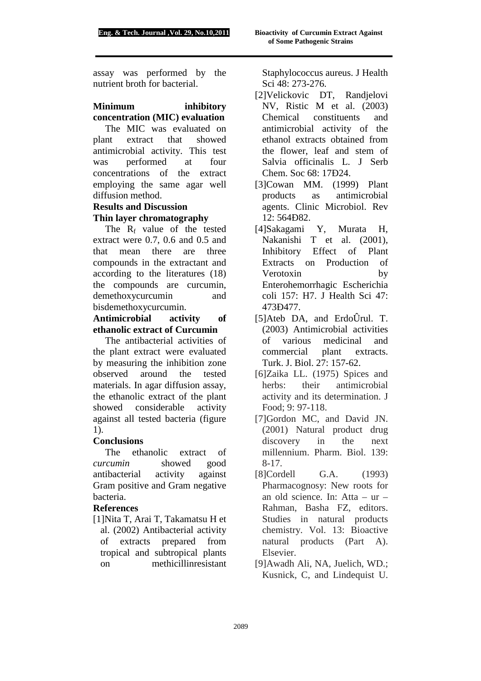assay was performed by the nutrient broth for bacterial.

### **Minimum inhibitory concentration (MIC) evaluation**

The MIC was evaluated on plant extract that showed antimicrobial activity. This test was performed at four concentrations of the extract employing the same agar well diffusion method.

# **Results and Discussion Thin layer chromatography**

The  $R_f$  value of the tested extract were 0.7, 0.6 and 0.5 and that mean there are three compounds in the extractant and according to the literatures (18) the compounds are curcumin, demethoxycurcumin and bisdemethoxycurcumin.

# **Antimicrobial activity of ethanolic extract of Curcumin**

 The antibacterial activities of the plant extract were evaluated by measuring the inhibition zone observed around the tested materials. In agar diffusion assay, the ethanolic extract of the plant showed considerable activity against all tested bacteria (figure 1).

# **Conclusions**

 The ethanolic extract of *curcumin* showed good antibacterial activity against Gram positive and Gram negative bacteria.

### **References**

[1]Nita T, Arai T, Takamatsu H et al. (2002) Antibacterial activity of extracts prepared from tropical and subtropical plants on methicillinresistant

Staphylococcus aureus. J Health Sci 48: 273-276.

- [2]Velickovic DT, Randjelovi NV, Ristic M et al. (2003) Chemical constituents and antimicrobial activity of the ethanol extracts obtained from the flower, leaf and stem of Salvia officinalis L. J Serb Chem. Soc 68: 17Ð24.
- [3]Cowan MM. (1999) Plant products as antimicrobial agents. Clinic Microbiol. Rev 12: 564Ð82.
- [4]Sakagami Y, Murata H, Nakanishi T et al. (2001), Inhibitory Effect of Plant Extracts on Production of Verotoxin by Enterohemorrhagic Escherichia coli 157: H7. J Health Sci 47: 473Ð477.
- [5]Ateb DA, and ErdoÛrul. T. (2003) Antimicrobial activities of various medicinal and commercial plant extracts. Turk. J. Biol. 27: 157-62.
- [6]Zaika LL. (1975) Spices and herbs: their antimicrobial activity and its determination. J Food; 9: 97-118.
- [7]Gordon MC, and David JN. (2001) Natural product drug discovery in the next millennium. Pharm. Biol. 139: 8-17.
- [8]Cordell G.A. (1993) Pharmacognosy: New roots for an old science. In: Atta – ur – Rahman, Basha FZ, editors. Studies in natural products chemistry. Vol. 13: Bioactive natural products (Part A). Elsevier.
- [9]Awadh Ali, NA, Juelich, WD.; Kusnick, C, and Lindequist U.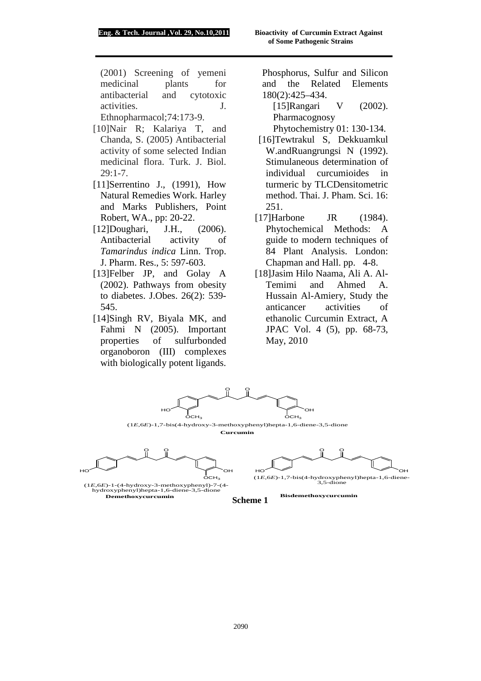(2001) Screening of yemeni medicinal plants for antibacterial and cytotoxic activities. J. Ethnopharmacol;74:173-9.

- [10]Nair R; Kalariya T, and Chanda, S. (2005) Antibacterial activity of some selected Indian medicinal flora. Turk. J. Biol. 29:1-7.
- [11]Serrentino J., (1991), How Natural Remedies Work. Harley and Marks Publishers, Point Robert, WA., pp: 20-22.
- [12]Doughari, J.H., (2006). Antibacterial activity of *Tamarindus indica* Linn. Trop. J. Pharm. Res., 5: 597-603.
- [13]Felber JP, and Golay A (2002). Pathways from obesity to diabetes. J.Obes. 26(2): 539- 545.
- [14]Singh RV, Biyala MK, and Fahmi N (2005). Important properties of sulfurbonded organoboron (III) complexes with biologically potent ligands.

Phosphorus, Sulfur and Silicon and the Related Elements 180(2):425–434.

[15]Rangari V (2002). Pharmacognosy

Phytochemistry 01: 130-134.

- [16]Tewtrakul S, Dekkuamkul W.andRuangrungsi N (1992). Stimulaneous determination of individual curcumioides in turmeric by TLCDensitometric method. Thai. J. Pham. Sci. 16: 251.
- [17] Harbone JR (1984). Phytochemical Methods: A guide to modern techniques of 84 Plant Analysis. London: Chapman and Hall. pp. 4-8.
- [18]Jasim Hilo Naama, Ali A. Al-Temimi and Ahmed A. Hussain Al-Amiery, Study the anticancer activities of ethanolic Curcumin Extract, A JPAC Vol. 4 (5), pp. 68-73, May, 2010

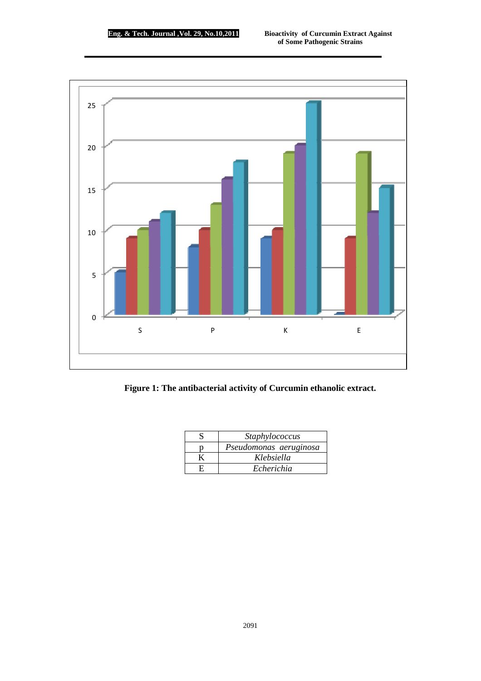

**Figure 1: The antibacterial activity of Curcumin ethanolic extract.** 

| Staphylococcus         |
|------------------------|
| Pseudomonas aeruginosa |
| Klebsiella             |
| Echerichia             |